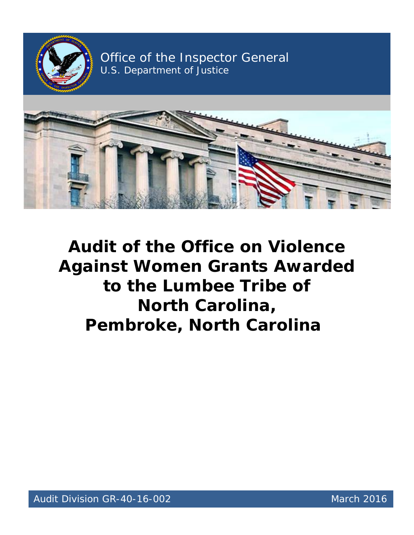

Office of the Inspector General U.S. Department of Justice



 **Audit of the Office on Violence Against Women Grants Awarded to the Lumbee Tribe of North Carolina, Pembroke, North Carolina**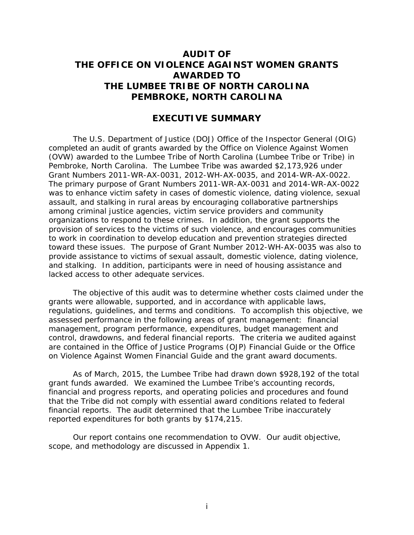# **AUDIT OF THE LUMBEE TRIBE OF NORTH CAROLINA THE OFFICE ON VIOLENCE AGAINST WOMEN GRANTS AWARDED TO PEMBROKE, NORTH CAROLINA**

### **EXECUTIVE SUMMARY**

 (OVW) awarded to the Lumbee Tribe of North Carolina (Lumbee Tribe or Tribe) in Pembroke, North Carolina. The Lumbee Tribe was awarded \$2,173,926 under organizations to respond to these crimes. In addition, the grant supports the toward these issues. The purpose of Grant Number 2012-WH-AX-0035 was also to and stalking. In addition, participants were in need of housing assistance and lacked access to other adequate services. The U.S. Department of Justice (DOJ) Office of the Inspector General (OIG) completed an audit of grants awarded by the Office on Violence Against Women Grant Numbers 2011-WR-AX-0031, 2012-WH-AX-0035, and 2014-WR-AX-0022. The primary purpose of Grant Numbers 2011-WR-AX-0031 and 2014-WR-AX-0022 was to enhance victim safety in cases of domestic violence, dating violence, sexual assault, and stalking in rural areas by encouraging collaborative partnerships among criminal justice agencies, victim service providers and community provision of services to the victims of such violence, and encourages communities to work in coordination to develop education and prevention strategies directed provide assistance to victims of sexual assault, domestic violence, dating violence,

 grants were allowable, supported, and in accordance with applicable laws, regulations, guidelines, and terms and conditions. To accomplish this objective, we are contained in the Office of Justice Programs (OJP) Financial Guide or the Office The objective of this audit was to determine whether costs claimed under the assessed performance in the following areas of grant management: financial management, program performance, expenditures, budget management and control, drawdowns, and federal financial reports. The criteria we audited against on Violence Against Women Financial Guide and the grant award documents.

 financial reports. The audit determined that the Lumbee Tribe inaccurately As of March, 2015, the Lumbee Tribe had drawn down \$928,192 of the total grant funds awarded. We examined the Lumbee Tribe's accounting records, financial and progress reports, and operating policies and procedures and found that the Tribe did not comply with essential award conditions related to federal reported expenditures for both grants by \$174,215.

Our report contains one recommendation to OVW. Our audit objective, scope, and methodology are discussed in Appendix 1.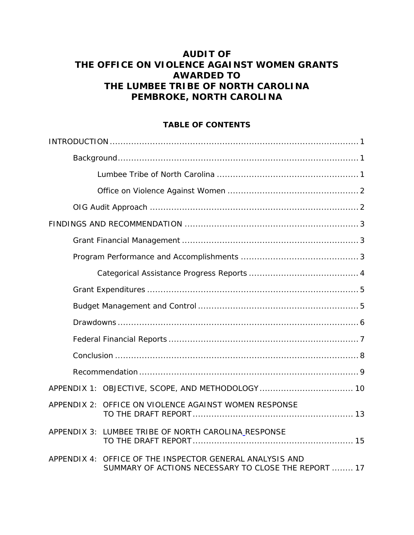# **AUDIT OF THE LUMBEE TRIBE OF NORTH CAROLINA THE OFFICE ON VIOLENCE AGAINST WOMEN GRANTS AWARDED TO PEMBROKE, NORTH CAROLINA**

# **TABLE OF CONTENTS**

|             | APPENDIX 2: OFFICE ON VIOLENCE AGAINST WOMEN RESPONSE                                                |
|-------------|------------------------------------------------------------------------------------------------------|
|             | APPENDIX 3: LUMBEE TRIBE OF NORTH CAROLINA_RESPONSE                                                  |
| APPENDIX 4: | OFFICE OF THE INSPECTOR GENERAL ANALYSIS AND<br>SUMMARY OF ACTIONS NECESSARY TO CLOSE THE REPORT  17 |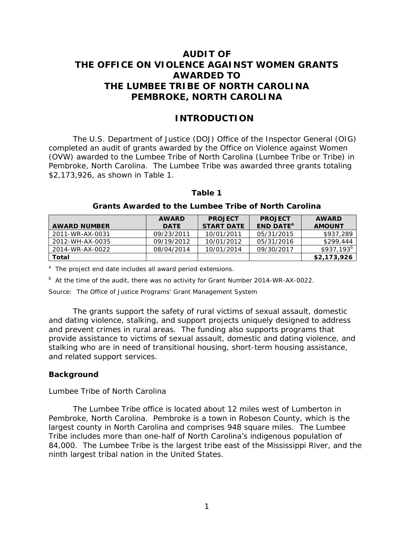# **AUDIT OF THE LUMBEE TRIBE OF NORTH CAROLINA THE OFFICE ON VIOLENCE AGAINST WOMEN GRANTS AWARDED TO PEMBROKE, NORTH CAROLINA**

# **INTRODUCTION**

<span id="page-3-0"></span> completed an audit of grants awarded by the Office on Violence against Women Pembroke, North Carolina. The Lumbee Tribe was awarded three grants totaling \$2,173,926, as shown in Table 1. The U.S. Department of Justice (DOJ) Office of the Inspector General (OIG) (OVW) awarded to the Lumbee Tribe of North Carolina (Lumbee Tribe or Tribe) in

| таріе т                                                     |              |                   |                             |               |
|-------------------------------------------------------------|--------------|-------------------|-----------------------------|---------------|
| <b>Grants Awarded to the Lumbee Tribe of North Carolina</b> |              |                   |                             |               |
|                                                             | <b>AWARD</b> | <b>PROJECT</b>    | <b>PROJECT</b>              | <b>AWARD</b>  |
| <b>AWARD NUMBER</b>                                         | <b>DATE</b>  | <b>START DATE</b> | <b>END DATE<sup>a</sup></b> | <b>AMOUNT</b> |
| 2011-WR-AX-0031                                             | 09/23/2011   | 10/01/2011        | 05/31/2015                  | \$937,289     |
| 2012-WH-AX-0035                                             | 09/19/2012   | 10/01/2012        | 05/31/2016                  | \$299,444     |
| 2014-WR-AX-0022                                             | 08/04/2014   | 10/01/2014        | 09/30/2017                  | $$937,193^b$  |
| Total                                                       |              |                   |                             | \$2,173,926   |

## **Table 1**

<sup>a</sup> The project end date includes all award period extensions.

 $b$  At the time of the audit, there was no activity for Grant Number 2014-WR-AX-0022.

Source: The Office of Justice Programs' Grant Management System

 Source: The Office of Justice Programs' Grant Management System The grants support the safety of rural victims of sexual assault, domestic and related support services. and dating violence, stalking, and support projects uniquely designed to address and prevent crimes in rural areas. The funding also supports programs that provide assistance to victims of sexual assault, domestic and dating violence, and stalking who are in need of transitional housing, short-term housing assistance,

### <span id="page-3-2"></span><span id="page-3-1"></span>**Background**

#### *Lumbee Tribe of North Carolina*

 Pembroke, North Carolina. Pembroke is a town in Robeson County, which is the largest county in North Carolina and comprises 948 square miles. The Lumbee Tribe includes more than one-half of North Carolina's indigenous population of 84,000. The Lumbee Tribe is the largest tribe east of the Mississippi River, and the The Lumbee Tribe office is located about 12 miles west of Lumberton in ninth largest tribal nation in the United States.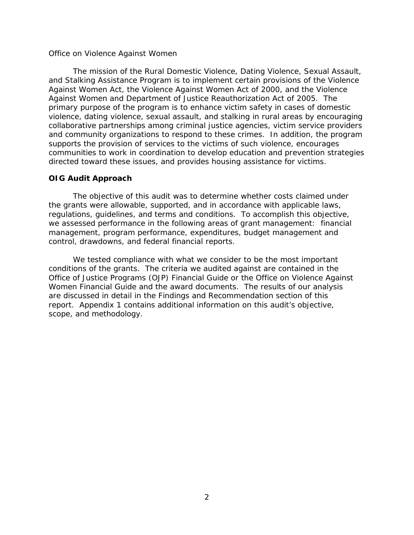#### <span id="page-4-0"></span>*Office on Violence Against Women*

 and Stalking Assistance Program is to implement certain provisions of the Violence directed toward these issues, and provides housing assistance for victims. The mission of the Rural Domestic Violence, Dating Violence, Sexual Assault, Against Women Act, the Violence Against Women Act of 2000, and the Violence Against Women and Department of Justice Reauthorization Act of 2005. The primary purpose of the program is to enhance victim safety in cases of domestic violence, dating violence, sexual assault, and stalking in rural areas by encouraging collaborative partnerships among criminal justice agencies, victim service providers and community organizations to respond to these crimes. In addition, the program supports the provision of services to the victims of such violence, encourages communities to work in coordination to develop education and prevention strategies

#### <span id="page-4-1"></span>**OIG Audit Approach**

 The objective of this audit was to determine whether costs claimed under the grants were allowable, supported, and in accordance with applicable laws, regulations, guidelines, and terms and conditions. To accomplish this objective, we assessed performance in the following areas of grant management: financial management, program performance, expenditures, budget management and control, drawdowns, and federal financial reports.

 conditions of the grants. The criteria we audited against are contained in the Women Financial Guide and the award documents. The results of our analysis We tested compliance with what we consider to be the most important Office of Justice Programs (OJP) Financial Guide or the Office on Violence Against are discussed in detail in the Findings and Recommendation section of this report. Appendix 1 contains additional information on this audit's objective, scope, and methodology.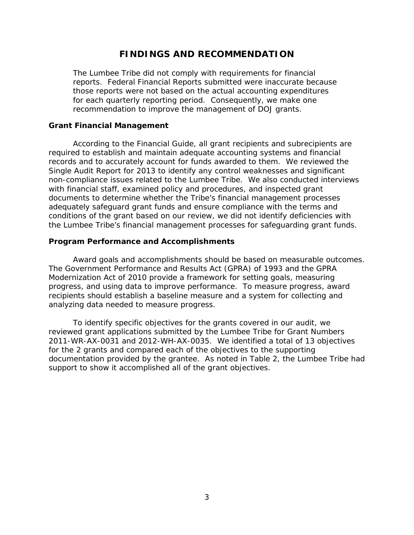# **FINDINGS AND RECOMMENDATION**

<span id="page-5-0"></span> for each quarterly reporting period. Consequently, we make one recommendation to improve the management of DOJ grants. The Lumbee Tribe did not comply with requirements for financial reports. Federal Financial Reports submitted were inaccurate because those reports were not based on the actual accounting expenditures

#### <span id="page-5-1"></span>**Grant Financial Management**

 conditions of the grant based on our review, we did not identify deficiencies with According to the Financial Guide, all grant recipients and subrecipients are required to establish and maintain adequate accounting systems and financial records and to accurately account for funds awarded to them. We reviewed the Single Audit Report for 2013 to identify any control weaknesses and significant non-compliance issues related to the Lumbee Tribe. We also conducted interviews with financial staff, examined policy and procedures, and inspected grant documents to determine whether the Tribe's financial management processes adequately safeguard grant funds and ensure compliance with the terms and the Lumbee Tribe's financial management processes for safeguarding grant funds.

### <span id="page-5-2"></span>**Program Performance and Accomplishments**

Award goals and accomplishments should be based on measurable outcomes. The *Government Performance and Results Act* (GPRA) of 1993 and the *GPRA Modernization Act of 2010* provide a framework for setting goals, measuring progress, and using data to improve performance. To measure progress, award recipients should establish a baseline measure and a system for collecting and analyzing data needed to measure progress.

 support to show it accomplished all of the grant objectives. To identify specific objectives for the grants covered in our audit, we reviewed grant applications submitted by the Lumbee Tribe for Grant Numbers 2011-WR-AX-0031 and 2012-WH-AX-0035. We identified a total of 13 objectives for the 2 grants and compared each of the objectives to the supporting documentation provided by the grantee. As noted in Table 2, the Lumbee Tribe had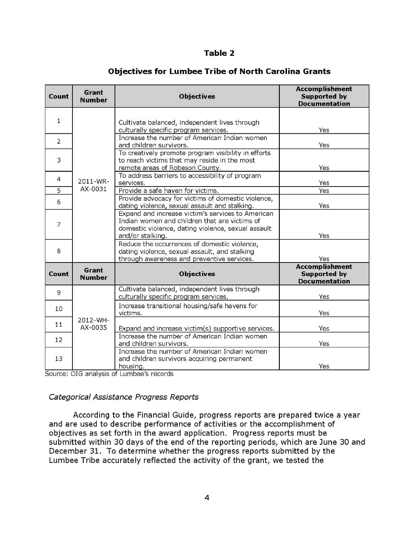# **Table 2**

| Count             | Grant<br><b>Number</b> | <b>Objectives</b>                                                                                                                                                            | <b>Accomplishment</b><br><b>Supported by</b><br><b>Documentation</b> |
|-------------------|------------------------|------------------------------------------------------------------------------------------------------------------------------------------------------------------------------|----------------------------------------------------------------------|
| $\mathbf{1}$      | 2011-WR-               | Cultivate balanced, independent lives through<br>culturally specific program services.                                                                                       | Yes                                                                  |
| $\overline{2}$    |                        | Increase the number of American Indian women<br>and children survivors.                                                                                                      | Yes                                                                  |
| 3                 |                        | To creatively promote program visibility in efforts<br>to reach victims that may reside in the most<br>remote areas of Robeson County.                                       | Yes                                                                  |
| 4                 |                        | To address barriers to accessibility of program<br>services.                                                                                                                 | Yes                                                                  |
| $\overline{5}$    | AX-0031                | Provide a safe haven for victims.                                                                                                                                            | Yes                                                                  |
| 6                 |                        | Provide advocacy for victims of domestic violence,<br>dating violence, sexual assault and stalking.                                                                          | Yes                                                                  |
| 7                 |                        | Expand and increase victim's services to American<br>Indian women and children that are victims of<br>domestic violence, dating violence, sexual assault<br>and/or stalking. | Yes                                                                  |
| 8                 |                        | Reduce the occurrences of domestic violence,<br>dating violence, sexual assault, and stalking<br>through awareness and preventive services.                                  | Yes                                                                  |
| Count             | Grant<br><b>Number</b> | <b>Objectives</b>                                                                                                                                                            | <b>Accomplishment</b><br><b>Supported by</b><br><b>Documentation</b> |
| 9                 | 2012-WH-<br>AX-0035    | Cultivate balanced, independent lives through<br>culturally specific program services.                                                                                       | Yes                                                                  |
| 10                |                        | Increase transitional housing/safe havens for<br>victims.                                                                                                                    | Yes                                                                  |
| 11                |                        | Expand and increase victim(s) supportive services.                                                                                                                           | Yes                                                                  |
| $12 \overline{ }$ |                        | Increase the number of American Indian women<br>and children survivors.                                                                                                      | Yes                                                                  |
| 13                |                        | Increase the number of American Indian women<br>and children survivors acquiring permanent<br>housing.                                                                       | Yes                                                                  |

# **Objectives for Lumbee Tribe of North Carolina Grants**

Source: OIG analysis of Lumbee's records

# Categorical Assistance Progress Reports

According to the Financial Guide, progress reports are prepared twice a year and are used to describe performance of activities or the accomplishment of objectives as set forth in the award application. Progress reports must be submitted within 30 days of the end of the reporting periods, which are June 30 and December 31. To determine whether the progress reports submitted by the Lumbee Tribe accurately reflected the activity of the grant, we tested the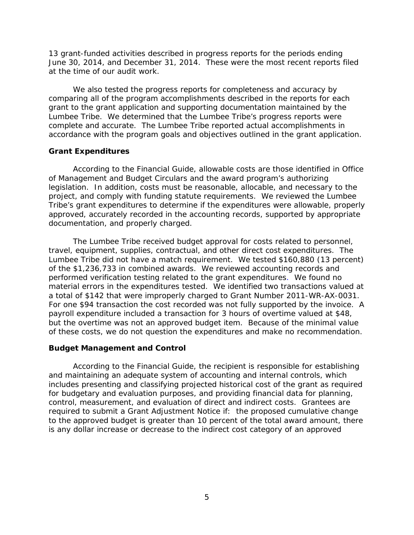13 grant-funded activities described in progress reports for the periods ending 13 grant-funded activities described in progress reports for the periods ending<br>June 30, 2014, and December 31, 2014. These were the most recent reports filed at the time of our audit work.

 comparing all of the program accomplishments described in the reports for each We also tested the progress reports for completeness and accuracy by grant to the grant application and supporting documentation maintained by the Lumbee Tribe. We determined that the Lumbee Tribe's progress reports were complete and accurate. The Lumbee Tribe reported actual accomplishments in accordance with the program goals and objectives outlined in the grant application.

### <span id="page-7-0"></span>**Grant Expenditures**

According to the Financial Guide*,* allowable costs are those identified in Office of Management and Budget Circulars and the award program's authorizing legislation. In addition, costs must be reasonable, allocable, and necessary to the project, and comply with funding statute requirements. We reviewed the Lumbee Tribe's grant expenditures to determine if the expenditures were allowable, properly approved, accurately recorded in the accounting records, supported by appropriate documentation, and properly charged.

 Lumbee Tribe did not have a match requirement. We tested \$160,880 (13 percent) of the \$1,236,733 in combined awards. We reviewed accounting records and material errors in the expenditures tested. We identified two transactions valued at a total of \$142 that were improperly charged to Grant Number 2011-WR-AX-0031. The Lumbee Tribe received budget approval for costs related to personnel, travel, equipment, supplies, contractual, and other direct cost expenditures. The performed verification testing related to the grant expenditures. We found no For one \$94 transaction the cost recorded was not fully supported by the invoice. A payroll expenditure included a transaction for 3 hours of overtime valued at \$48, but the overtime was not an approved budget item. Because of the minimal value of these costs, we do not question the expenditures and make no recommendation.

#### <span id="page-7-1"></span>**Budget Management and Control**

 and maintaining an adequate system of accounting and internal controls, which control, measurement, and evaluation of direct and indirect costs. Grantees are According to the Financial Guide*,* the recipient is responsible for establishing includes presenting and classifying projected historical cost of the grant as required for budgetary and evaluation purposes, and providing financial data for planning, required to submit a Grant Adjustment Notice if: the proposed cumulative change to the approved budget is greater than 10 percent of the total award amount, there is any dollar increase or decrease to the indirect cost category of an approved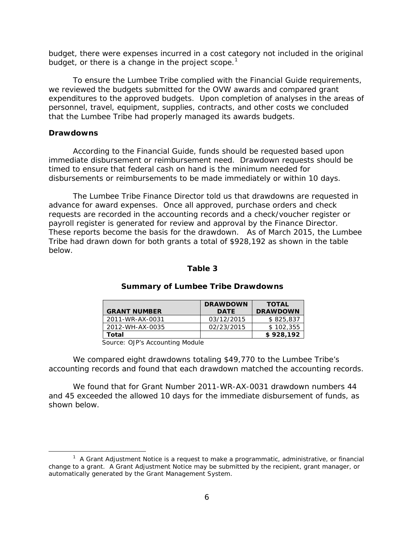budget, there were expenses incurred in a cost category not included in the original budget, or there is a change in the project scope.<sup>1</sup>

 that the Lumbee Tribe had properly managed its awards budgets. To ensure the Lumbee Tribe complied with the Financial Guide requirements, we reviewed the budgets submitted for the OVW awards and compared grant expenditures to the approved budgets. Upon completion of analyses in the areas of personnel, travel, equipment, supplies, contracts, and other costs we concluded

### <span id="page-8-0"></span>**Drawdowns**

1

 immediate disbursement or reimbursement need. Drawdown requests should be According to the Financial Guide*,* funds should be requested based upon timed to ensure that federal cash on hand is the minimum needed for disbursements or reimbursements to be made immediately or within 10 days.

 requests are recorded in the accounting records and a check/voucher register or The Lumbee Tribe Finance Director told us that drawdowns are requested in advance for award expenses. Once all approved, purchase orders and check payroll register is generated for review and approval by the Finance Director. These reports become the basis for the drawdown. As of March 2015, the Lumbee Tribe had drawn down for both grants a total of \$928,192 as shown in the table below.

### **Table 3**

| <b>GRANT NUMBER</b> | <b>DRAWDOWN</b><br><b>DATE</b> | <b>TOTAL</b><br><b>DRAWDOWN</b> |
|---------------------|--------------------------------|---------------------------------|
| 2011-WR-AX-0031     | 03/12/2015                     | \$825,837                       |
| 2012-WH-AX-0035     | 02/23/2015                     | \$102.355                       |
| Total               |                                | \$928,192                       |

#### **Summary of Lumbee Tribe Drawdowns**

Source: OJP's Accounting Module

We compared eight drawdowns totaling \$49,770 to the Lumbee Tribe's accounting records and found that each drawdown matched the accounting records.

We found that for Grant Number 2011-WR-AX-0031 drawdown numbers 44 and 45 exceeded the allowed 10 days for the immediate disbursement of funds, as shown below.

<span id="page-8-1"></span> $1$  A Grant Adjustment Notice is a request to make a programmatic, administrative, or financial change to a grant. A Grant Adjustment Notice may be submitted by the recipient, grant manager, or automatically generated by the Grant Management System.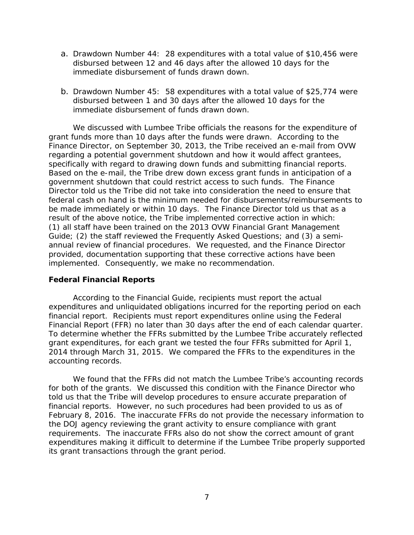- a. Drawdown Number 44: 28 expenditures with a total value of \$10,456 were disbursed between 12 and 46 days after the allowed 10 days for the immediate disbursement of funds drawn down.
- b. Drawdown Number 45: 58 expenditures with a total value of \$25,774 were disbursed between 1 and 30 days after the allowed 10 days for the immediate disbursement of funds drawn down.

 We discussed with Lumbee Tribe officials the reasons for the expenditure of Finance Director, on September 30, 2013, the Tribe received an e-mail from OVW government shutdown that could restrict access to such funds. The Finance be made immediately or within 10 days. The Finance Director told us that as a result of the above notice, the Tribe implemented corrective action in which: annual review of financial procedures. We requested, and the Finance Director grant funds more than 10 days after the funds were drawn. According to the regarding a potential government shutdown and how it would affect grantees, specifically with regard to drawing down funds and submitting financial reports. Based on the e-mail, the Tribe drew down excess grant funds in anticipation of a Director told us the Tribe did not take into consideration the need to ensure that federal cash on hand is the minimum needed for disbursements/reimbursements to (1) all staff have been trained on the 2013 OVW Financial Grant Management Guide; (2) the staff reviewed the Frequently Asked Questions; and (3) a semiprovided, documentation supporting that these corrective actions have been implemented. Consequently, we make no recommendation.

#### <span id="page-9-0"></span>**Federal Financial Reports**

 financial report. Recipients must report expenditures online using the Federal Financial Report (FFR) no later than 30 days after the end of each calendar quarter. 2014 through March 31, 2015. We compared the FFRs to the expenditures in the According to the Financial Guide*,* recipients must report the actual expenditures and unliquidated obligations incurred for the reporting period on each To determine whether the FFRs submitted by the Lumbee Tribe accurately reflected grant expenditures, for each grant we tested the four FFRs submitted for April 1, accounting records.

 February 8, 2016. The inaccurate FFRs do not provide the necessary information to requirements. The inaccurate FFRs also do not show the correct amount of grant We found that the FFRs did not match the Lumbee Tribe's accounting records for both of the grants. We discussed this condition with the Finance Director who told us that the Tribe will develop procedures to ensure accurate preparation of financial reports. However, no such procedures had been provided to us as of the DOJ agency reviewing the grant activity to ensure compliance with grant expenditures making it difficult to determine if the Lumbee Tribe properly supported its grant transactions through the grant period.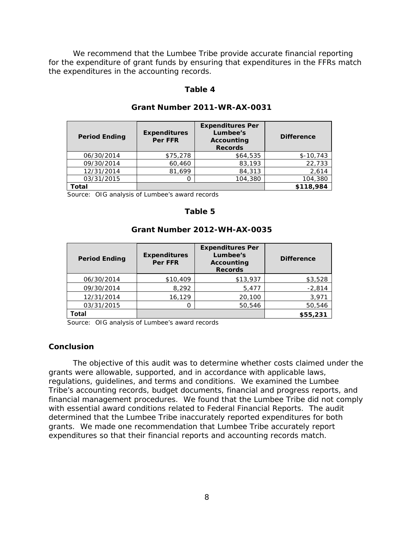We recommend that the Lumbee Tribe provide accurate financial reporting the expenditures in the accounting records. for the expenditure of grant funds by ensuring that expenditures in the FFRs match

#### **Table 4**

| <b>Period Ending</b> | <b>Expenditures</b><br><b>Per FFR</b> | <b>Expenditures Per</b><br>Lumbee's<br>Accounting<br><b>Records</b> | <b>Difference</b> |
|----------------------|---------------------------------------|---------------------------------------------------------------------|-------------------|
| 06/30/2014           | \$75,278                              | \$64,535                                                            | $$-10,743$        |
| 09/30/2014           | 60,460                                | 83,193                                                              | 22,733            |
| 12/31/2014           | 81.699                                | 84,313                                                              | 2,614             |
| 03/31/2015           |                                       | 104,380                                                             | 104,380           |
| Total                |                                       |                                                                     | \$118,984         |

#### **Grant Number 2011-WR-AX-0031**

Source: OIG analysis of Lumbee's award records

### **Table 5**

| <b>Period Ending</b> | <b>Expenditures</b><br><b>Per FFR</b> | <b>Expenditures Per</b><br>Lumbee's<br>Accounting<br><b>Records</b> | <b>Difference</b> |
|----------------------|---------------------------------------|---------------------------------------------------------------------|-------------------|
| 06/30/2014           | \$10,409                              | \$13,937                                                            | \$3,528           |
| 09/30/2014           | 8,292                                 | 5,477                                                               | $-2,814$          |
| 12/31/2014           | 16,129                                | 20,100                                                              | 3,971             |
| 03/31/2015           |                                       | 50,546                                                              | 50,546            |
| <b>Total</b>         |                                       |                                                                     | \$55,231          |

#### **Grant Number 2012-WH-AX-0035**

Source: OIG analysis of Lumbee's award records

#### <span id="page-10-0"></span>**Conclusion**

 The objective of this audit was to determine whether costs claimed under the grants were allowable, supported, and in accordance with applicable laws, regulations, guidelines, and terms and conditions. We examined the Lumbee financial management procedures. We found that the Lumbee Tribe did not comply with essential award conditions related to Federal Financial Reports. The audit determined that the Lumbee Tribe inaccurately reported expenditures for both grants. We made one recommendation that Lumbee Tribe accurately report Tribe's accounting records, budget documents, financial and progress reports, and expenditures so that their financial reports and accounting records match.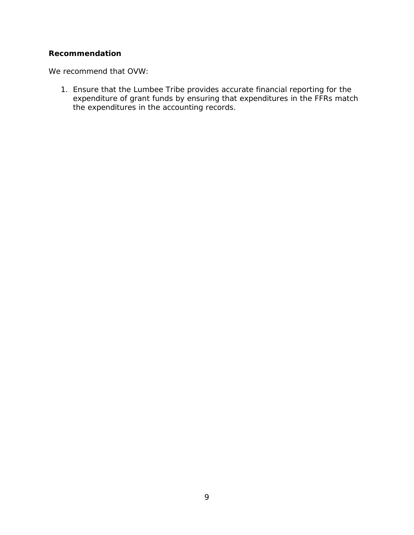## <span id="page-11-0"></span>**Recommendation**

We recommend that OVW:

1. Ensure that the Lumbee Tribe provides accurate financial reporting for the expenditure of grant funds by ensuring that expenditures in the FFRs match the expenditures in the accounting records.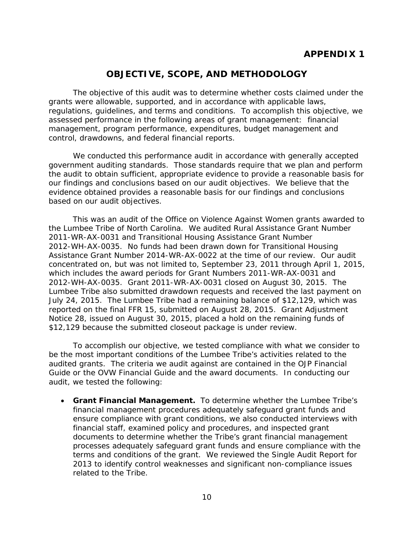# **APPENDIX 1**

# **OBJECTIVE, SCOPE, AND METHODOLOGY**

<span id="page-12-0"></span> The objective of this audit was to determine whether costs claimed under the grants were allowable, supported, and in accordance with applicable laws, regulations, guidelines, and terms and conditions. To accomplish this objective, we assessed performance in the following areas of grant management: financial control, drawdowns, and federal financial reports. management, program performance, expenditures, budget management and

We conducted this performance audit in accordance with generally accepted government auditing standards. Those standards require that we plan and perform the audit to obtain sufficient, appropriate evidence to provide a reasonable basis for our findings and conclusions based on our audit objectives. We believe that the evidence obtained provides a reasonable basis for our findings and conclusions based on our audit objectives.

2011-WR-AX-0031 and Transitional Housing Assistance Grant Number 2011-WR-AX-0031 and Transitional Housing Assistance Grant Number<br>2012-WH-AX-0035. No funds had been drawn down for Transitional Housing Assistance Grant Number 2014-WR-AX-0022 at the time of our review. Our audit Lumbee Tribe also submitted drawdown requests and received the last payment on July 24, 2015. The Lumbee Tribe had a remaining balance of \$12,129, which was Notice 28, issued on August 30, 2015, placed a hold on the remaining funds of \$12,129 because the submitted closeout package is under review. This was an audit of the Office on Violence Against Women grants awarded to the Lumbee Tribe of North Carolina. We audited Rural Assistance Grant Number concentrated on, but was not limited to, September 23, 2011 through April 1, 2015, which includes the award periods for Grant Numbers 2011-WR-AX-0031 and 2012-WH-AX-0035. Grant 2011-WR-AX-0031 closed on August 30, 2015. The reported on the final FFR 15, submitted on August 28, 2015. Grant Adjustment

 be the most important conditions of the Lumbee Tribe's activities related to the audited grants. The criteria we audit against are contained in the OJP Financial Guide or the OVW Financial Guide and the award documents. In conducting our To accomplish our objective, we tested compliance with what we consider to audit, we tested the following:

 • **Grant Financial Management.** To determine whether the Lumbee Tribe's financial management procedures adequately safeguard grant funds and ensure compliance with grant conditions, we also conducted interviews with financial staff, examined policy and procedures, and inspected grant documents to determine whether the Tribe's grant financial management processes adequately safeguard grant funds and ensure compliance with the terms and conditions of the grant. We reviewed the Single Audit Report for 2013 to identify control weaknesses and significant non-compliance issues related to the Tribe.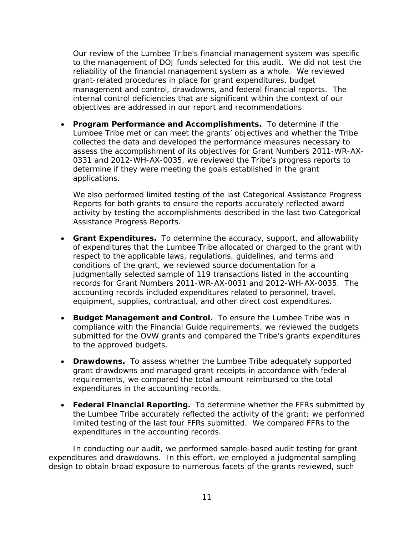to the management of DOJ funds selected for this audit. We did not test the reliability of the financial management system as a whole. We reviewed management and control, drawdowns, and federal financial reports. The Our review of the Lumbee Tribe's financial management system was specific grant-related procedures in place for grant expenditures, budget internal control deficiencies that are significant within the context of our objectives are addressed in our report and recommendations.

 • **Program Performance and Accomplishments.** To determine if the Lumbee Tribe met or can meet the grants' objectives and whether the Tribe collected the data and developed the performance measures necessary to assess the accomplishment of its objectives for Grant Numbers 2011-WR-AX-0331 and 2012-WH-AX-0035, we reviewed the Tribe's progress reports to determine if they were meeting the goals established in the grant applications.

 activity by testing the accomplishments described in the last two Categorical Assistance Progress Reports. We also performed limited testing of the last Categorical Assistance Progress Reports for both grants to ensure the reports accurately reflected award

- **Grant Expenditures.** To determine the accuracy, support, and allowability respect to the applicable laws, regulations, guidelines, and terms and records for Grant Numbers 2011-WR-AX-0031 and 2012-WH-AX-0035. The accounting records included expenditures related to personnel, travel, equipment, supplies, contractual, and other direct cost expenditures. of expenditures that the Lumbee Tribe allocated or charged to the grant with conditions of the grant, we reviewed source documentation for a judgmentally selected sample of 119 transactions listed in the accounting
- **Budget Management and Control.** To ensure the Lumbee Tribe was in compliance with the Financial Guide requirements, we reviewed the budgets to the approved budgets. submitted for the OVW grants and compared the Tribe's grants expenditures
- **Drawdowns.** To assess whether the Lumbee Tribe adequately supported grant drawdowns and managed grant receipts in accordance with federal requirements, we compared the total amount reimbursed to the total expenditures in the accounting records.
- • **Federal Financial Reporting.** To determine whether the FFRs submitted by the Lumbee Tribe accurately reflected the activity of the grant; we performed limited testing of the last four FFRs submitted. We compared FFRs to the expenditures in the accounting records.

In conducting our audit, we performed sample-based audit testing for grant expenditures and drawdowns. In this effort, we employed a judgmental sampling design to obtain broad exposure to numerous facets of the grants reviewed, such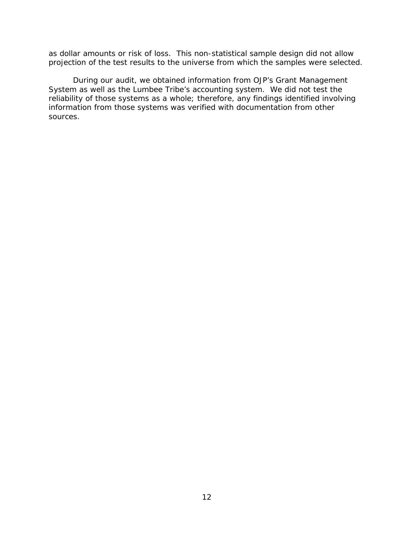as dollar amounts or risk of loss. This non-statistical sample design did not allow projection of the test results to the universe from which the samples were selected.

 During our audit, we obtained information from OJP's Grant Management reliability of those systems as a whole; therefore, any findings identified involving System as well as the Lumbee Tribe's accounting system. We did not test the information from those systems was verified with documentation from other sources.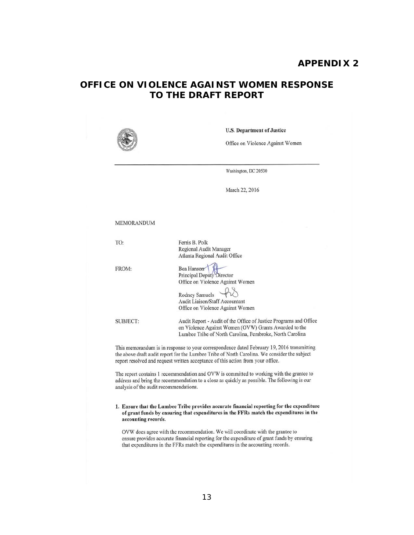## **APPENDIX 2**

# **OFFICE ON VIOLENCE AGAINST WOMEN RESPONSE TO THE DRAFT REPORT**



U.S. Department of Justice

Office on Violence Against Women

Washington, DC 20530

March 22, 2016

#### MEMORANDUM

| TO:             | Ferris B. Polk                                                                                                             |
|-----------------|----------------------------------------------------------------------------------------------------------------------------|
|                 | Regional Audit Manager                                                                                                     |
|                 | Atlanta Regional Audit Office                                                                                              |
| FROM:           | Bea Hanson                                                                                                                 |
|                 | Principal Deputy Director                                                                                                  |
|                 | Office on Violence Against Women                                                                                           |
|                 | Rodney Samuels                                                                                                             |
|                 | <b>Audit Liaison/Staff Accountant</b>                                                                                      |
|                 | Office on Violence Against Women                                                                                           |
| <b>SUBJECT:</b> | Audit Report - Audit of the Office of Justice Programs and Office<br>on Violence Against Women (OVW) Grants Awarded to the |
|                 | Lumbee Tribe of North Carolina, Pembroke, North Carolina                                                                   |

This memorandum is in response to your correspondence dated February 19, 2016 transmitting the above draft audit report for the Lumbee Tribe of North Carolina. We consider the subject report resolved and request written acceptance of this action from your office.

The report contains 1 recommendation and OVW is committed to working with the grantee to address and bring the recommendation to a close as quickly as possible. The following is our analysis of the audit recommendations.

#### 1. Ensure that the Lumbee Tribe provides accurate financial reporting for the expenditure of grant funds by ensuring that expenditures in the FFRs match the expenditures in the accounting records.

OVW does agree with the recommendation. We will coordinate with the grantee to ensure provides accurate financial reporting for the expenditure of grant funds by ensuring that expenditures in the FFRs match the expenditures in the accounting records.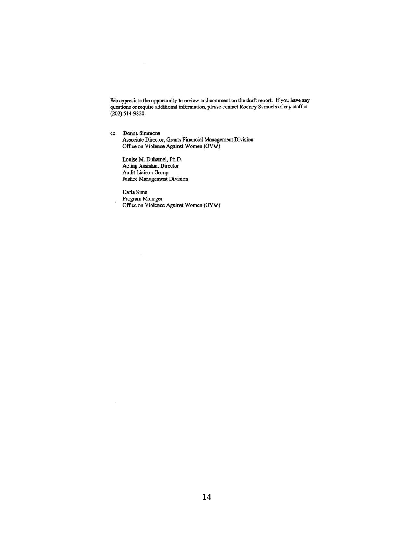We appreciate the opportunity to review and comment on the draft report. If you have any questions or require additional information, please contact Rodney Samuels of my staff at (202) 514-9820.

ce Donna Simmons Associate Director, Grants Financial Management Division Office on Violence Against Women (OVW)

Louise M. Duhamel, Ph.D. Acting Assistant Director Audit Liaison Group Justice Management Division

 $\overline{\Sigma}$ 

Darla Sims Program Manager Office on Violence Against Women (OVW)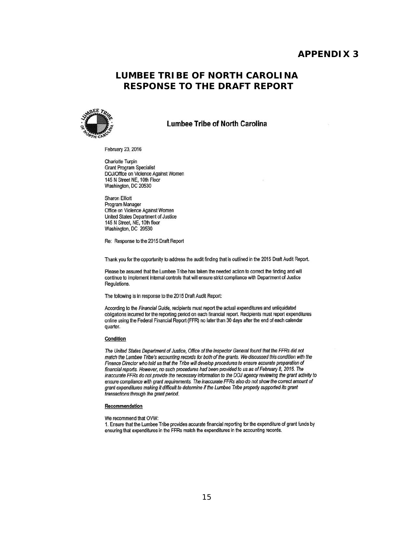### <span id="page-17-0"></span>**APPENDIX 3**

## <span id="page-17-1"></span> **LUMBEE TRIBE OF NORTH CAROLINA RESPONSE TO THE DRAFT REPORT**



#### Lumbee Tribe of North Carolina

February 23, 2016

Charlotte Turpin Grant Program Specialist DOJ/Office on Violence Against Women 145 N Street NE, 10th Floor Washington, DC 20530

Sharon Elliott Program Manager Office on Violence Against Women United States Department of Justice 145 N Street, NE, 10th floor Washington, DC 20530

Re: Response to the 2015 Draft Report

Thank you for the opportunity to address the audit finding that is outlined in the 2015 Draft Audit Report.

Please be assured that the Lumbee Tribe has taken the needed action to correct the finding and will continue to implement internal controls that will ensure strict compliance with Department of Justice Regulations.

The following is in response to the 2015 Draft Audit Report:

According to the Financial Guide, recipients must report the actual expenditures and unliquidated obligations incurred for the reporting period on each financial report. Recipients must report expenditures online using the Federal Financial Report (FFR) no later than 30 days after the end of each calendar quarter.

#### Condition

The United States Department of Justice, Office of the Inspector General found that the FFRs did not match the Lumbee Tribe's acrounting reconis for *both* of the grants. We discussed this condition with the Finance Diredor who *told* us that the Tribe will develop procedures to ensure accurate preparation of financial reports. However, no such procedures had been provided to us as of February 8, 2016. The inaccurate FFRs do not provide the necessary information to the DOJ agency reviewing the grant activity to ensure compliance with grant requirements. The inaccurate FFRs also do not show the correct amount of grant expenditures *making* it difficult to determine if the *Lumbee* Tribe *properly* supported its gran' *transactions through the grant period.* 

#### **Recommendation**

We recommend that OVW:

1. Ensure that the Lumbee Tribe provides accurate financial reporting for the expenditure of grant funds by ensuring that expenditures in the FFRs match the expenditures in the accounting records.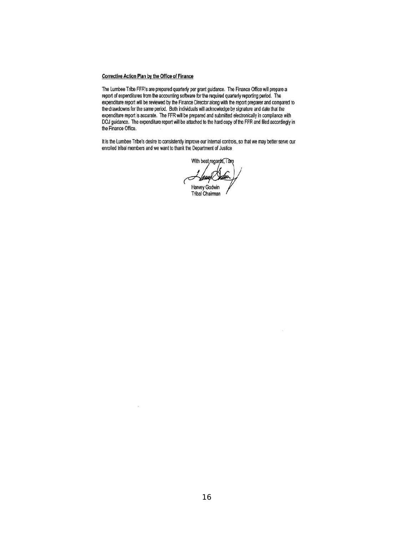#### **Corrective Action Plan by the Office of Finance**

 $\mathcal{L}^2$ 

The Lumbee Tribe FFR's are prepared quarterly per grant guidance. The Finance Office will prepare a report of expenditures from the accounting software for the required quarterly reporting period. The expenditure report will be reviewed by the Finance Director along with the report preparer and compared to the drawdowns for the same period. Both individuals will acknowledge by signature and date that the expenditure report is accurate. The FFR will be prepared and submitted electronically in compliance with DOJ guidance. The expenditure report will be attached to the hard copy of the FFR and filed accordingly in the Finance Office.

It is the Lumbee Tribe's desire to consistently improve our internal controls, so that we may better serve our enrolled tribal members and we want to thank the Department of Justice

> With best regards, an Harvey Godwin

Tribal Chairman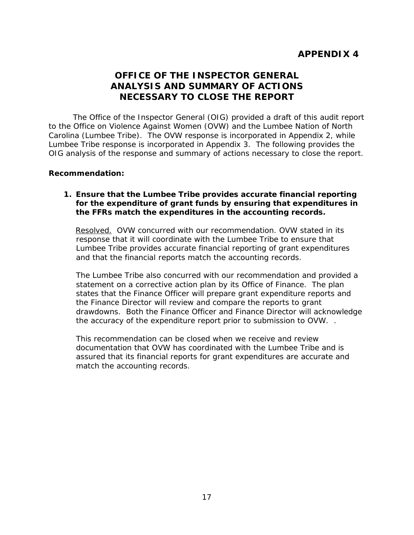# <span id="page-19-0"></span>**OFFICE OF THE INSPECTOR GENERAL ANALYSIS AND SUMMARY OF ACTIONS NECESSARY TO CLOSE THE REPORT**

<span id="page-19-2"></span><span id="page-19-1"></span> to the Office on Violence Against Women (OVW) and the Lumbee Nation of North Carolina (Lumbee Tribe). The OVW response is incorporated in Appendix 2, while Lumbee Tribe response is incorporated in Appendix 3. The following provides the OIG analysis of the response and summary of actions necessary to close the report. The Office of the Inspector General (OIG) provided a draft of this audit report

### **Recommendation:**

### **1. Ensure that the Lumbee Tribe provides accurate financial reporting for the expenditure of grant funds by ensuring that expenditures in the FFRs match the expenditures in the accounting records.**

Resolved. OVW concurred with our recommendation. OVW stated in its response that it will coordinate with the Lumbee Tribe to ensure that and that the financial reports match the accounting records. Lumbee Tribe provides accurate financial reporting of grant expenditures

 states that the Finance Officer will prepare grant expenditure reports and The Lumbee Tribe also concurred with our recommendation and provided a statement on a corrective action plan by its Office of Finance. The plan the Finance Director will review and compare the reports to grant drawdowns. Both the Finance Officer and Finance Director will acknowledge the accuracy of the expenditure report prior to submission to OVW. .

 documentation that OVW has coordinated with the Lumbee Tribe and is This recommendation can be closed when we receive and review assured that its financial reports for grant expenditures are accurate and match the accounting records.